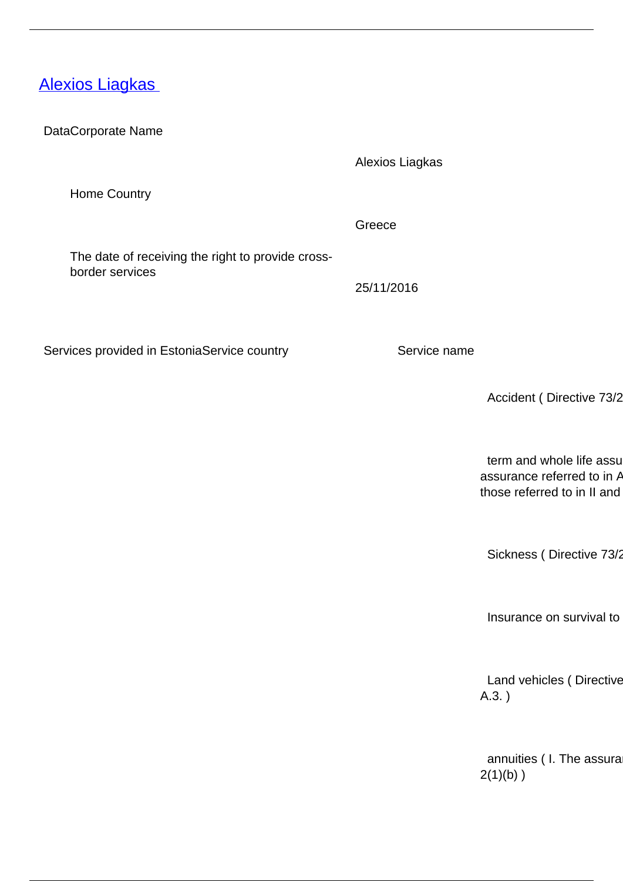## [Alexios Liagkas](/en/insurance-0/insurance/insurance-intermediaries/providers-cross-border-insurance-mediation-services/alexios-liagkas)

DataCorporate Name

Alexios Liagkas

Greece

25/11/2016

Home Country

The date of receiving the right to provide crossborder services

Services provided in EstoniaService country Service name

Accident ( Directive 73/2

term and whole life assu assurance referred to in  $A$ those referred to in II and

Sickness ( Directive 73/2

Insurance on survival to

Land vehicles ( Directive A.3. )

annuities ( I. The assura  $2(1)(b)$ )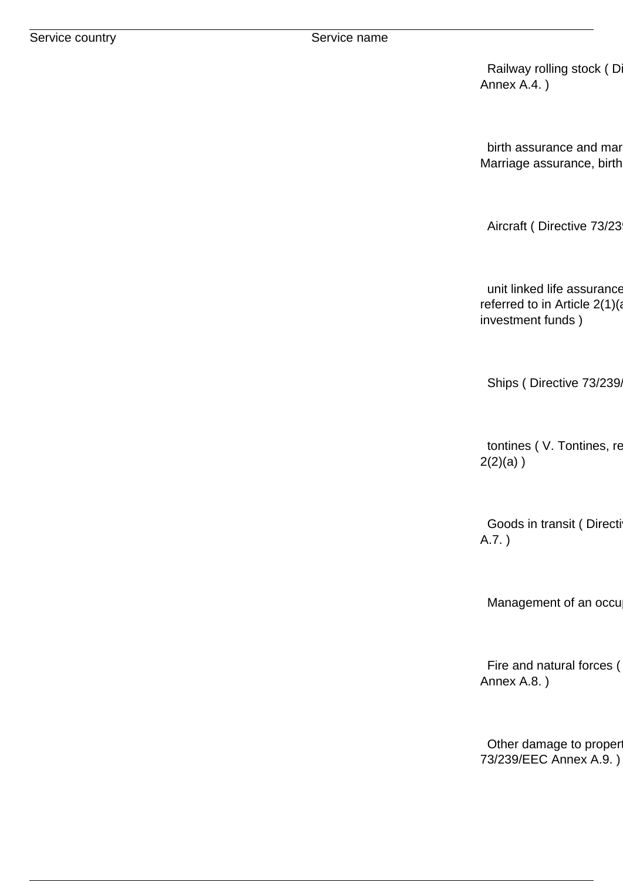Railway rolling stock (D Annex A.4. )

birth assurance and mar Marriage assurance, birth

Aircraft ( Directive 73/23

unit linked life assurance referred to in Article  $2(1)(a)$ investment funds )

Ships ( Directive 73/239,

tontines ( V. Tontines, re  $2(2)(a)$ )

Goods in transit ( Directi A.7. )

Management of an occu

Fire and natural forces ( Annex A.8. )

Other damage to proper 73/239/EEC Annex A.9. )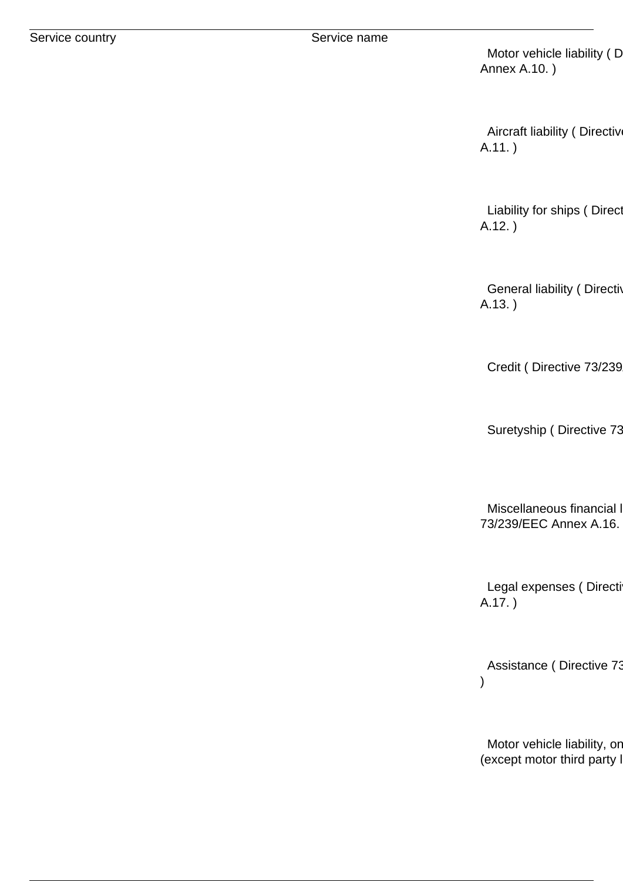Motor vehicle liability (D Annex A.10. )

Aircraft liability ( Directiv A.11. )

Liability for ships ( Direct A.12. )

General liability ( Directive A.13. )

Credit ( Directive 73/239

Suretyship ( Directive 73

Miscellaneous financial l 73/239/EEC Annex A.16. )

Legal expenses ( Directi A.17. )

Assistance ( Directive 73 )

Motor vehicle liability, or (except motor third party I